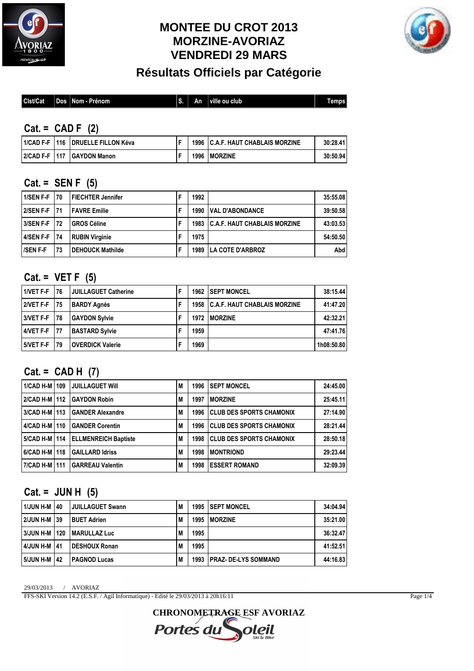

# **MONTEE DU CROT 2013 MORZINE-AVORIAZ VENDREDI 29 MARS**



**Résultats Officiels par Catégorie**

| Clst/Cat | Æ<br>Jos | --<br>∣ Nom - Prènom | c<br>Ð. | Αn | ville ou club | <b>Tem</b><br>nps |
|----------|----------|----------------------|---------|----|---------------|-------------------|
|          |          |                      |         |    |               |                   |

#### **Cat. = CAD F (2)**

|  | 11/CAD F-F 1116 I DRUELLE FILLON Kéva | 1996 | I C.A.F. HAUT CHABLAIS MORZINE | 30:28.41 |
|--|---------------------------------------|------|--------------------------------|----------|
|  | 2/CAD F-F 1117 GAYDON Manon           | 1996 | <b>IMORZINE</b>                | 30:50.94 |

#### **Cat. = SEN F (5)**

| 1/SEN F-F 170  |            | <b>IFIECHTER Jennifer</b> | 1992 |                                     | 35:55.08 |
|----------------|------------|---------------------------|------|-------------------------------------|----------|
| 2/SEN F-F 171  |            | <b>IFAVRE Emilie</b>      | 1990 | <b>VAL D'ABONDANCE</b>              | 39:50.58 |
| 3/SEN F-F 172  |            | <b>GROS Céline</b>        | 1983 | <b>C.A.F. HAUT CHABLAIS MORZINE</b> | 43:03.53 |
| 4/SEN F-F      | <b>174</b> | <b>RUBIN Virginie</b>     | 1975 |                                     | 54:50.50 |
| <b>SEN F-F</b> | 73         | <b>I DEHOUCK Mathilde</b> | 1989 | <b>LA COTE D'ARBROZ</b>             | Abd l    |

### **Cat. = VET F (5)**

| 1/VET F-F 176 |            | <b>JUILLAGUET Catherine</b> | 1962 | <b>ISEPT MONCEL</b>                      | 38:15.44   |
|---------------|------------|-----------------------------|------|------------------------------------------|------------|
| 2/VET F-F 175 |            | <b>BARDY Agnès</b>          |      | <b>1958 C.A.F. HAUT CHABLAIS MORZINE</b> | 41:47.20   |
| 3/VET F-F     | <b>178</b> | <b>GAYDON Sylvie</b>        | 1972 | <b>IMORZINE</b>                          | 42:32.21   |
| 4/VET F-F 177 |            | <b>BASTARD Sylvie</b>       | 1959 |                                          | 47:41.76   |
| 5/VET F-F     | l 79       | <b>OVERDICK Valerie</b>     | 1969 |                                          | 1h08:50.80 |

### **Cat. = CAD H (7)**

| 1/CAD H-M   109 | <b>JUILLAGUET WIII</b>              | M | 1996 | <b>ISEPT MONCEL</b>              | 24:45.00 |
|-----------------|-------------------------------------|---|------|----------------------------------|----------|
| 2/CAD H-M   112 | <b>GAYDON Robin</b>                 | M | 1997 | <b>IMORZINE</b>                  | 25:45.11 |
| 3/CAD H-M   113 | <b>GANDER Alexandre</b>             | M | 1996 | <b>CLUB DES SPORTS CHAMONIX</b>  | 27:14.90 |
| 4/CAD H-M   110 | <b>GANDER Corentin</b>              | M | 1996 | <b>ICLUB DES SPORTS CHAMONIX</b> | 28:21.44 |
|                 | 5/CAD H-M 1114 ELLMENREICH Baptiste | M | 1998 | <b>CLUB DES SPORTS CHAMONIX</b>  | 28:50.18 |
| 6/CAD H-M   118 | <b>GAILLARD Idriss</b>              | M | 1998 | <b>IMONTRIOND</b>                | 29:23.44 |
| 7/CAD H-M   111 | <b>GARREAU Valentin</b>             | M | 1998 | <b>IESSERT ROMAND</b>            | 32:09.39 |

#### **Cat. = JUN H (5)**

| 1/JUN H-M 140   | <b>JUILLAGUET Swann</b> | M   |      | <b>1995 ISEPT MONCEL</b>    | 34:04.94 |
|-----------------|-------------------------|-----|------|-----------------------------|----------|
| 2/JUN H-M 139   | <b>BUET Adrien</b>      | M   | 1995 | <b>IMORZINE</b>             | 35:21.00 |
| 3/JUN H-M   120 | <b>IMARULLAZ Luc</b>    | M   | 1995 |                             | 36:32.47 |
| 4/JUN H-M 141   | <b>IDESHOUX Ronan</b>   | M   | 1995 |                             | 41:52.51 |
| 5/JUN H-M   42  | <b>PAGNOD Lucas</b>     | l M | 1993 | <b>IPRAZ-DE-LYS SOMMAND</b> | 44:16.83 |

29/03/2013 / AVORIAZ

FFS-SKI Version 14.2 (E.S.F. / Agil Informatique) - Edité le 29/03/2013 à 20h16:11

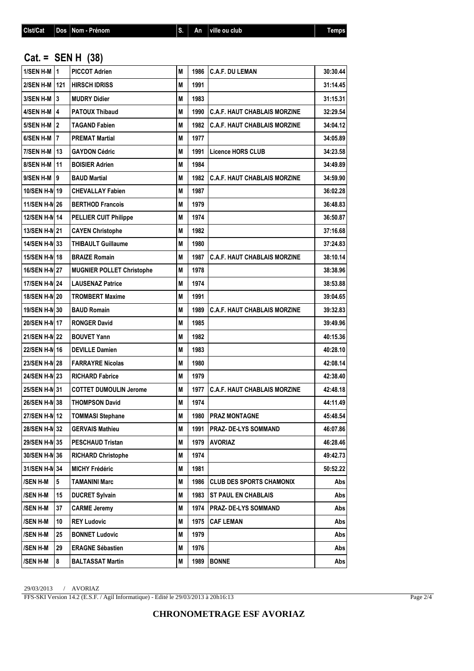#### **Cat. = SEN H (38)**

| $1/SEM$ H-M $ 1$ |    | <b>PICCOT Adrien</b>             | M |        | 1986   C.A.F. DU LEMAN              | 30:30.44 |
|------------------|----|----------------------------------|---|--------|-------------------------------------|----------|
| 2/SEN H-M   121  |    | <b>HIRSCH IDRISS</b>             | M | 1991   |                                     | 31:14.45 |
| $3/SEM$ H-M $ 3$ |    | <b>MUDRY Didier</b>              | M | 1983   |                                     | 31:15.31 |
| 4/SEN H-M   4    |    | <b>PATOUX Thibaud</b>            | M | 1990   | <b>C.A.F. HAUT CHABLAIS MORZINE</b> | 32:29.54 |
| 5/SEN H-M   2    |    | <b>TAGAND Fabien</b>             | M | 1982   | <b>C.A.F. HAUT CHABLAIS MORZINE</b> | 34:04.12 |
| 6/SEN H-M   7    |    | <b>PREMAT Martial</b>            | M | 1977   |                                     | 34:05.89 |
| 7/SEN H-M   13   |    | <b>GAYDON Cédric</b>             | M | 1991   | <b>Licence HORS CLUB</b>            | 34:23.58 |
| 8/SEN H-M   11   |    | <b>BOISIER Adrien</b>            | M | 1984   |                                     | 34:49.89 |
| 9/SEN H-M 9      |    | <b>BAUD Martial</b>              | M | 1982   | <b>C.A.F. HAUT CHABLAIS MORZINE</b> | 34:59.90 |
| 10/SEN H-N 19    |    | <b>CHEVALLAY Fabien</b>          | M | 1987   |                                     | 36:02.28 |
| 11/SEN H-N 26    |    | <b>BERTHOD Francois</b>          | М | 1979   |                                     | 36:48.83 |
| 12/SEN H-N 14    |    | <b>PELLIER CUIT Philippe</b>     | M | 1974   |                                     | 36:50.87 |
| 13/SEN H-N 21    |    | <b>CAYEN Christophe</b>          | М | 1982   |                                     | 37:16.68 |
| 14/SEN H-N 33    |    | <b>THIBAULT Guillaume</b>        | M | 1980   |                                     | 37:24.83 |
| 15/SEN H-N 18    |    | <b>BRAIZE Romain</b>             | M | 1987 l | <b>C.A.F. HAUT CHABLAIS MORZINE</b> | 38:10.14 |
| 16/SEN H-N 27    |    | <b>MUGNIER POLLET Christophe</b> | M | 1978   |                                     | 38:38.96 |
| 17/SEN H-N 24    |    | <b>LAUSENAZ Patrice</b>          | M | 1974   |                                     | 38:53.88 |
| 18/SEN H-N 20    |    | <b>TROMBERT Maxime</b>           | М | 1991   |                                     | 39:04.65 |
| 19/SEN H-N 30    |    | <b>BAUD Romain</b>               | М | 1989   | <b>C.A.F. HAUT CHABLAIS MORZINE</b> | 39:32.83 |
| 20/SEN H-N 17    |    | <b>RONGER David</b>              | M | 1985   |                                     | 39:49.96 |
| 21/SEN H-N 22    |    | <b>BOUVET Yann</b>               | M | 1982   |                                     | 40:15.36 |
| 22/SEN H-N 16    |    | <b>DEVILLE Damien</b>            | M | 1983   |                                     | 40:28.10 |
| 23/SEN H-N 28    |    | <b>FARRAYRE Nicolas</b>          | M | 1980   |                                     | 42:08.14 |
| 24/SEN H-N 23    |    | <b>RICHARD Fabrice</b>           | М | 1979   |                                     | 42:38.40 |
| 25/SEN H-N 31    |    | <b>COTTET DUMOULIN Jerome</b>    | M | 1977   | <b>C.A.F. HAUT CHABLAIS MORZINE</b> | 42:48.18 |
| 26/SEN H-N 38    |    | <b>THOMPSON David</b>            | M | 1974   |                                     | 44:11.49 |
| 27/SEN H-N 12    |    | <b>TOMMASI Stephane</b>          | M |        | 1980   PRAZ MONTAGNE                | 45:48.54 |
| 28/SEN H-N 32    |    | <b>GERVAIS Mathieu</b>           | М | 1991   | PRAZ- DE-LYS SOMMAND                | 46:07.86 |
| 29/SEN H-N 35    |    | <b>PESCHAUD Tristan</b>          | M | 1979   | <b>AVORIAZ</b>                      | 46:28.46 |
| 30/SEN H-N 36    |    | <b>RICHARD Christophe</b>        | M | 1974   |                                     | 49:42.73 |
| 31/SEN H-N 34    |    | <b>MICHY Frédéric</b>            | М | 1981   |                                     | 50:52.22 |
| /SEN H-M         | 5  | <b>TAMANINI Marc</b>             | M | 1986   | <b>CLUB DES SPORTS CHAMONIX</b>     | Abs      |
| /SEN H-M         | 15 | <b>DUCRET Sylvain</b>            | M | 1983   | <b>ST PAUL EN CHABLAIS</b>          | Abs      |
| /SEN H-M         | 37 | <b>CARME Jeremy</b>              | M | 1974   | PRAZ- DE-LYS SOMMAND                | Abs      |
| /SEN H-M         | 10 | <b>REY Ludovic</b>               | M | 1975   | <b>CAF LEMAN</b>                    | Abs      |
| /SEN H-M         | 25 | <b>BONNET Ludovic</b>            | M | 1979   |                                     | Abs      |
| /SEN H-M         | 29 | <b>ERAGNE Sébastien</b>          | Μ | 1976   |                                     | Abs      |
| <b>/SEN H-M</b>  | 8  | <b>BALTASSAT Martin</b>          | Μ |        | 1989   BONNE                        | Abs      |

29/03/2013 / AVORIAZ

FFS-SKI Version 14.2 (E.S.F. / Agil Informatique) - Edité le 29/03/2013 à 20h16:13

Page 2/4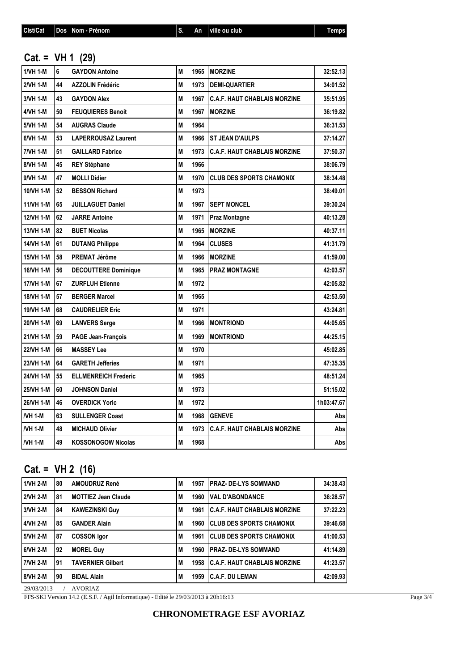#### **Cat. = VH 1 (29)**

| 1/VH 1-M         | 6  | <b>GAYDON Antoine</b>       | М |      | 1965   MORZINE                      | 32:52.13   |
|------------------|----|-----------------------------|---|------|-------------------------------------|------------|
| 2/VH 1-M         | 44 | <b>AZZOLIN Frédéric</b>     | M | 1973 | <b>DEMI-QUARTIER</b>                | 34:01.52   |
| 3/VH 1-M         | 43 | <b>GAYDON Alex</b>          | M | 1967 | <b>C.A.F. HAUT CHABLAIS MORZINE</b> | 35:51.95   |
| 4/VH 1-M         | 50 | <b>FEUQUIERES Benoit</b>    | M | 1967 | <b>MORZINE</b>                      | 36:19.82   |
| 5/VH 1-M         | 54 | <b>AUGRAS Claude</b>        | M | 1964 |                                     | 36:31.53   |
| 6/VH 1-M         | 53 | <b>LAPERROUSAZ Laurent</b>  | M | 1966 | <b>ST JEAN D'AULPS</b>              | 37:14.27   |
| 7/VH 1-M         | 51 | <b>GAILLARD Fabrice</b>     | M | 1973 | <b>C.A.F. HAUT CHABLAIS MORZINE</b> | 37:50.37   |
| 8/VH 1-M         | 45 | <b>REY Stéphane</b>         | M | 1966 |                                     | 38:06.79   |
| 9/VH 1-M         | 47 | <b>MOLLI Didier</b>         | M | 1970 | <b>CLUB DES SPORTS CHAMONIX</b>     | 38:34.48   |
| 10/VH 1-M        | 52 | <b>BESSON Richard</b>       | M | 1973 |                                     | 38:49.01   |
| 11/VH 1-M        | 65 | <b>JUILLAGUET Daniel</b>    | M | 1967 | <b>SEPT MONCEL</b>                  | 39:30.24   |
| <b>12/VH 1-M</b> | 62 | <b>JARRE Antoine</b>        | M | 1971 | <b>Praz Montagne</b>                | 40:13.28   |
| 13/VH 1-M        | 82 | <b>BUET Nicolas</b>         | M | 1965 | <b>MORZINE</b>                      | 40:37.11   |
| 14/VH 1-M        | 61 | <b>DUTANG Philippe</b>      | M | 1964 | <b>CLUSES</b>                       | 41:31.79   |
| 15/VH 1-M        | 58 | <b>PREMAT Jérôme</b>        | M | 1966 | <b>MORZINE</b>                      | 41:59.00   |
| 16/VH 1-M        | 56 | <b>DECOUTTERE Dominique</b> | М | 1965 | <b>IPRAZ MONTAGNE</b>               | 42:03.57   |
| 17/VH 1-M        | 67 | <b>ZURFLUH Etienne</b>      | M | 1972 |                                     | 42:05.82   |
| <b>18/VH 1-M</b> | 57 | <b>BERGER Marcel</b>        | M | 1965 |                                     | 42:53.50   |
| 19/VH 1-M        | 68 | <b>CAUDRELIER Eric</b>      | M | 1971 |                                     | 43:24.81   |
| 20/VH 1-M        | 69 | <b>LANVERS Serge</b>        | M | 1966 | <b>MONTRIOND</b>                    | 44:05.65   |
| 21/VH 1-M        | 59 | <b>PAGE Jean-François</b>   | M | 1969 | <b>MONTRIOND</b>                    | 44:25.15   |
| 22/VH 1-M        | 66 | <b>MASSEY Lee</b>           | M | 1970 |                                     | 45:02.85   |
| 23/VH 1-M        | 64 | <b>GARETH Jefferies</b>     | M | 1971 |                                     | 47:35.35   |
| 24/VH 1-M        | 55 | <b>ELLMENREICH Frederic</b> | M | 1965 |                                     | 48:51.24   |
| 25/VH 1-M        | 60 | <b>JOHNSON Daniel</b>       | M | 1973 |                                     | 51:15.02   |
| 26/VH 1-M        | 46 | <b>OVERDICK Yoric</b>       | M | 1972 |                                     | 1h03:47.67 |
| <b>NH 1-M</b>    | 63 | <b>SULLENGER Coast</b>      | M | 1968 | <b>GENEVE</b>                       | Abs        |
| /VH 1-M          | 48 | <b>MICHAUD Olivier</b>      | M | 1973 | <b>C.A.F. HAUT CHABLAIS MORZINE</b> | Abs        |
| /VH 1-M          | 49 | <b>KOSSONOGOW Nicolas</b>   | М | 1968 |                                     | Abs        |
|                  |    |                             |   |      |                                     |            |

## **Cat. = VH 2 (16)**

| 1/VH 2-M | l 80 | <b>AMOUDRUZ René</b>       | M | 1957 | <b>IPRAZ-DE-LYS SOMMAND</b>          | 34:38.43 |
|----------|------|----------------------------|---|------|--------------------------------------|----------|
| 2/VH 2-M | 181  | <b>MOTTIEZ Jean Claude</b> | M | 1960 | <b>VAL D'ABONDANCE</b>               | 36:28.57 |
| 3/VH 2-M | 84 ا | <b>KAWEZINSKI Guy</b>      | M | 1961 | <b>IC.A.F. HAUT CHABLAIS MORZINE</b> | 37:22.23 |
| 4/VH 2-M | l 85 | <b>GANDER Alain</b>        | M | 1960 | <b>ICLUB DES SPORTS CHAMONIX</b>     | 39:46.68 |
|          | 187  | <b>COSSON Igor</b>         | M | 1961 | <b>CLUB DES SPORTS CHAMONIX</b>      | 41:00.53 |
| 6/VH 2-M | l 92 | <b>MOREL Guy</b>           | M | 1960 | <b>PRAZ-DE-LYS SOMMAND</b>           | 41:14.89 |
| 7/VH 2-M | 191  | <b>TAVERNIER Gilbert</b>   | M | 1958 | <b>C.A.F. HAUT CHABLAIS MORZINE</b>  | 41:23.57 |
| 8/VH 2-M | l 90 | <b>BIDAL Alain</b>         | M | 1959 | <b>C.A.F. DU LEMAN</b>               | 42:09.93 |
| 5/VH 2-M |      |                            |   |      |                                      |          |

29/03/2013 / AVORIAZ

FFS-SKI Version 14.2 (E.S.F. / Agil Informatique) - Edité le 29/03/2013 à 20h16:13

Page 3/4

#### **CHRONOMETRAGE ESF AVORIAZ**